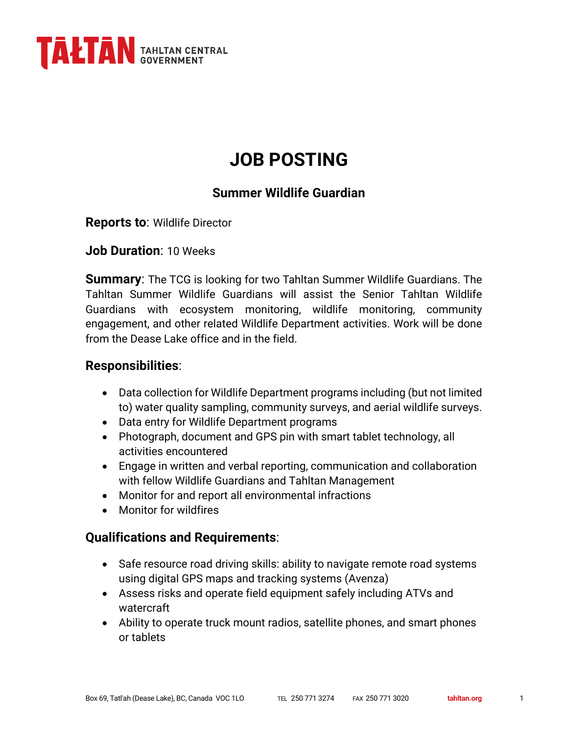

# **JOB POSTING**

## **Summer Wildlife Guardian**

**Reports to**: Wildlife Director

**Job Duration**: 10 Weeks

**Summary**: The TCG is looking for two Tahltan Summer Wildlife Guardians. The Tahltan Summer Wildlife Guardians will assist the Senior Tahltan Wildlife Guardians with ecosystem monitoring, wildlife monitoring, community engagement, and other related Wildlife Department activities. Work will be done from the Dease Lake office and in the field.

### **Responsibilities**:

- Data collection for Wildlife Department programs including (but not limited to) water quality sampling, community surveys, and aerial wildlife surveys.
- Data entry for Wildlife Department programs
- Photograph, document and GPS pin with smart tablet technology, all activities encountered
- Engage in written and verbal reporting, communication and collaboration with fellow Wildlife Guardians and Tahltan Management
- Monitor for and report all environmental infractions
- Monitor for wildfires

#### **Qualifications and Requirements**:

- Safe resource road driving skills: ability to navigate remote road systems using digital GPS maps and tracking systems (Avenza)
- Assess risks and operate field equipment safely including ATVs and watercraft
- Ability to operate truck mount radios, satellite phones, and smart phones or tablets